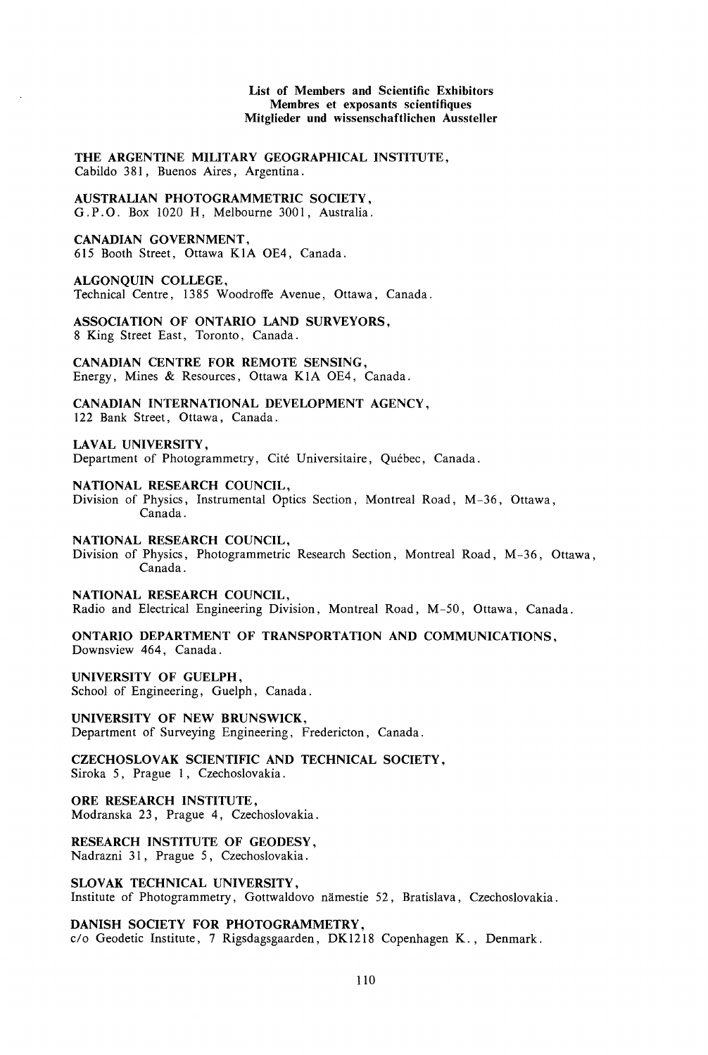### List of Members and Scientific Exhibitors Membres et exposants scientifiques Mitglieder und wissenschaftlichen Aussteller

THE ARGENTINE MILITARY GEOGRAPHICAL INSTITUTE, Cabildo 381, Buenos Aires, Argentina.

AUSTRALIAN PHOTOGRAMMETRIC SOCIETY, G.P.O. Box 1020 H, Melbourne 3001, Australia.

CANADIAN GOVERNMENT, 6I5 Booth Street, Ottawa KIA OE4, Canada.

ALGONQUIN COLLEGE,

Technical Centre, I385 Woodroffe Avenue, Ottawa, Canada.

ASSOCIATION OF ONTARIO LAND SURVEYORS, 8 King Street East, Toronto, Canada.

CANADIAN CENTRE FOR REMOTE SENSING, Energy, Mines & Resources, Ottawa KIA OE4, Canada.

CANADIAN INTERNATIONAL DEVELOPMENT AGENCY, I22 Bank Street, Ottawa, Canada.

LAVAL UNIVERSITY,

Department of Photogrammetry, Cité Universitaire, Québec, Canada.

NATIONAL RESEARCH COUNCIL,

Division of Physics, Instrumental Optics Section, Montreal Road, M-36, Ottawa, Canada.

NATIONAL RESEARCH COUNCIL,

Division of Physics, Photogrammetric Research Section, Montreal Road, M-36, Ottawa, Canada.

NATIONAL RESEARCH COUNCIL, Radio and Electrical Engineering Division, Montreal Road, M-50, Ottawa, Canada.

ONTARIO DEPARTMENT OF TRANSPORTATION AND COMMUNICATIONS, Downsview 464, Canada.

UNIVERSITY OF GUELPH, School of Engineering, Guelph, Canada.

UNIVERSITY OF NEW BRUNSWICK, Department of Surveying Engineering, Fredericton, Canada.

CZECHOSLOVAK SCIENTIFIC AND TECHNICAL SOCIETY, Siroka 5, Prague 1, Czechoslovakia.

ORE RESEARCH INSTITUTE, Modranska 23 , Prague 4, Czechoslovakia.

RESEARCH INSTITUTE OF GEODESY, Nadrazni 31, Prague 5, Czechoslovakia.

SLOVAK TECHNICAL UNIVERSITY,

Institute of Photogrammetry, Gottwaldovo nämestie 52, Bratislava, Czechoslovakia.

DANISH SOCIETY FOR PHOTOGRAMMETRY, c/o Geodetic Institute, 7 Rigsdagsgaarden, DKI2I8 Copenhagen K., Denmark.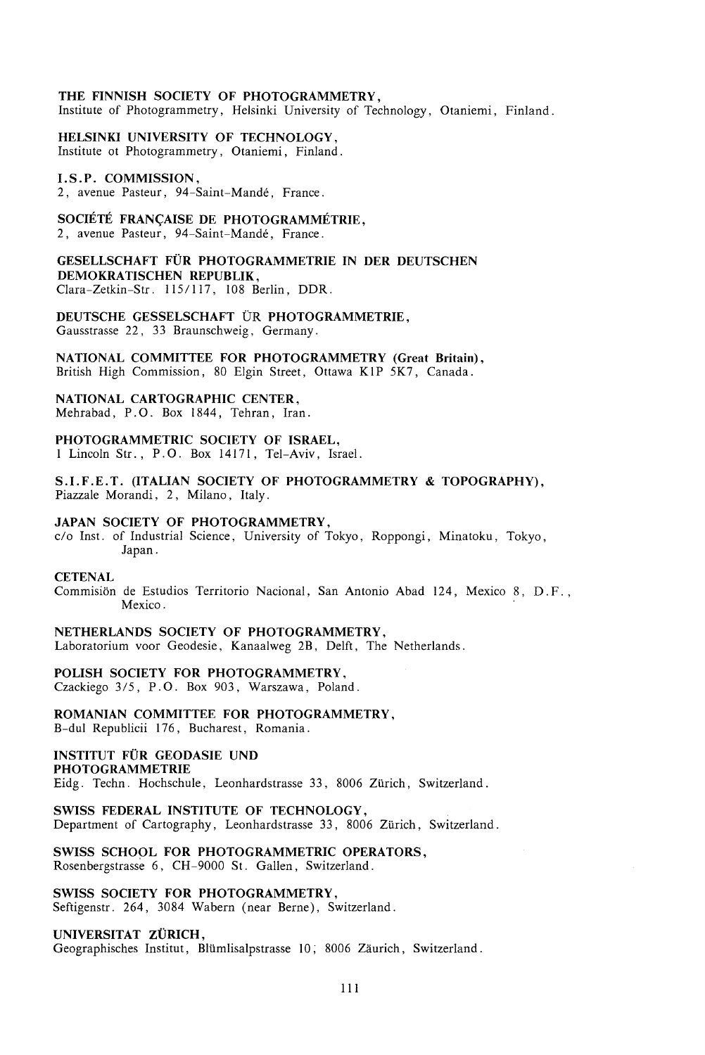# THE FINNISH SOCIETY OF PHOTOGRAMMETRY,

Institute of Photogrammetry, Helsinki University of Technology, Otaniemi, Finland.

HELSINKI UNIVERSITY OF TECHNOLOGY, Institute ot Photogrammetry, Otaniemi, Finland.

### I.S.P. COMMISSION,

2, avenue Pasteur, 94-Saint-Mande, France.

## SOCIÉTÉ FRANÇAISE DE PHOTOGRAMMÉTRIE.

2, avenue Pasteur, 94-Saint-Mande, France.

GESELLSCHAFT FÜR PHOTOGRAMMETRIE IN DER DEUTSCHEN DEMOKRATISCHEN REPUBLIK, Clara-Zetkin-Str. 1151117, 108 Berlin, DDR.

DEUTSCHE GESSELSCHAFT UR PHOTOGRAMMETRIE, Gausstrasse 22, 33 Braunschweig, Germany.

NATIONAL COMMITTEE FOR PHOTOGRAMMETRY (Great Britain), British High Commission, 80 Elgin Street, Ottawa KIP 5K7, Canada.

NATIONAL CARTOGRAPHIC CENTER, Mehrabad, P.O. Box 1844, Tehran, Iran.

PHOTOGRAMMETRIC SOCIETY OF ISRAEL, I Lincoln Str., P.O. Box 14171, Tel-Aviv, Israel.

S.I.F.E.T. (ITALIAN SOCIETY OF PHOTOGRAMMETRY & TOPOGRAPHY), Piazzale Morandi, 2, Milano, Italy.

### JAPAN SOCIETY OF PHOTOGRAMMETRY,

c/o Inst. of Industrial Science, University of Tokyo, Roppongi, Minatoku, Tokyo, Japan.

#### **CETENAL**

Commision de Estudios Territorio Nacional, San Antonio Abad 124, Mexico 8, D. F. , Mexico.

## NETHERLANDS SOCIETY OF PHOTOGRAMMETRY,

Laboratorium voor Geodesie, Kanaalweg 2B, Delft, The Netherlands.

#### POLISH SOCIETY FOR PHOTOGRAMMETRY,

Czackiego 3/5, P.O. Box 903, Warszawa, Poland.

#### ROMANIAN COMMITTEE FOR PHOTOGRAMMETRY,

B-dul Republicii 176, Bucharest, Romania.

#### INSTITUT FÜR GEODASIE UND PHOTOGRAMMETRIE

Eidg. Techn. Hochschule, Leonhardstrasse 33, 8006 Zürich, Switzerland.

#### SWISS FEDERAL INSTITUTE OF TECHNOLOGY,

Department of Cartography, Leonhardstrasse 33, 8006 Zürich, Switzerland.

# SWISS SCHOOL FOR PHOTOGRAMMETRIC OPERATORS,

Rosenbergstrasse 6, CH-9000 St. Gallen, Switzerland.

#### SWISS SOCIETY FOR PHOTOGRAMMETRY,

Seftigenstr. 264, 3084 Wabern (near Berne), Switzerland.

# UNIVERSITAT ZÜRICH,

Geographisches Institut, Blümlisalpstrasse 10, 8006 Zäurich, Switzerland.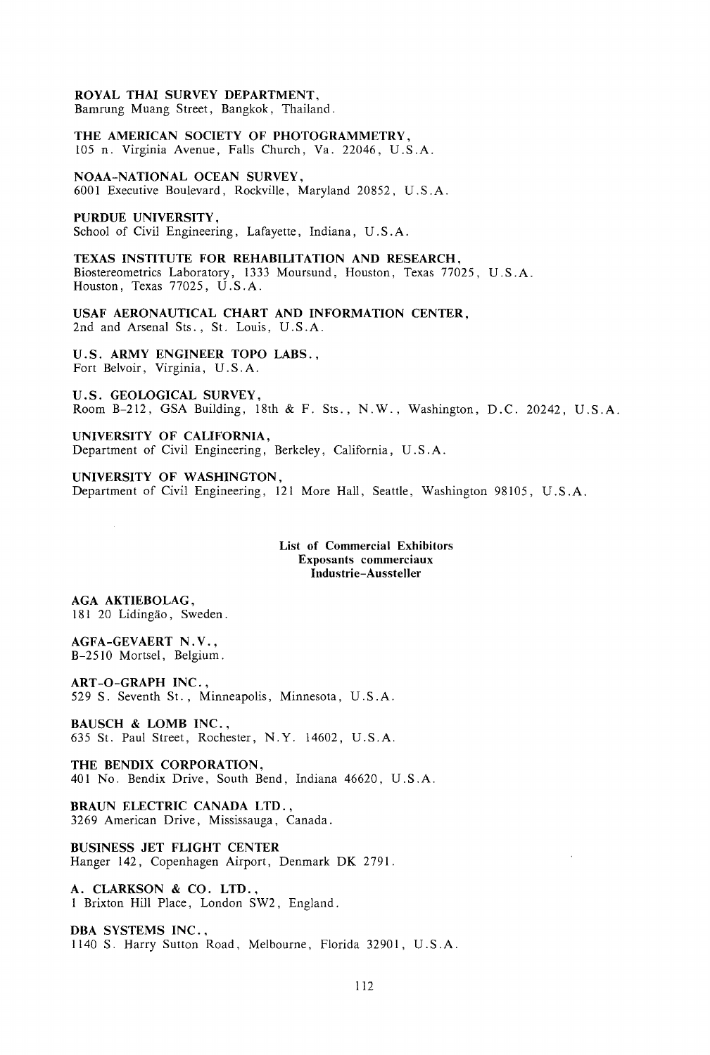# **ROYAL THAI SURVEY DEPARTMENT,**

Bamrung Muang Street, Bangkok, Thailand.

**THE AMERICAN SOCIETY OF PHOTOGRAMMETRY,**  105 n. Virginia Avenue, Falls Church, Va. 22046, U.S.A.

**NOAA-NATIONAL OCEAN SURVEY,**  6001 Executive Boulevard, Rockville, Maryland 20852, U.S. A.

**PURDUE UNIVERSITY,** 

School of Civil Engineering, Lafayette, Indiana, U.S. A.

**TEXAS INSTITUTE FOR REHABILITATION AND RESEARCH,**  Biostereometrics Laboratory, 1333 Moursund, Houston, Texas 77025, U.S.A. Houston, Texas  $77025$ , U.S.A.

**USAF AERONAUTICAL CHART AND INFORMATION CENTER,**  2nd and Arsenal Sts., St. Louis, U.S.A.

**U.S. ARMY ENGINEER TOPO LABS.,**  Fort Belvoir, Virginia, U.S. A.

**U.S. GEOLOGICAL SURVEY,**  Room B-212, GSA Building, 18th & F. Sts., N.W., Washington, D.C. 20242, U.S.A.

**UNIVERSITY OF CALIFORNIA,**  Department of Civil Engineering, Berkeley, California, U.S. A.

**UNIVERSITY OF WASHINGTON,**  Department of Civil Engineering, 121 More Hall, Seattle, Washington 98105, U.S. A.

> **List of Commercial Exhibitors Exposants commerciaux Industrie-Aussteller**

**AGA AKTIEBOLAG,**  181 20 Lidingao, Sweden.

**AGFA-GEVAERT N. V.,**  B-2510 Mortsel, Belgium.

**ART -0-GRAPH INC.** , 529 S. Seventh St. , Minneapolis, Minnesota, U.S. A.

**BAUSCH & LOMB INC.** , 635 St. Paul Street, Rochester, N.Y. 14602, U.S.A.

**THE BENDIX CORPORATION,**  401 No. Bendix Drive, South Bend, Indiana 46620, U.S. A.

**BRAUN ELECTRIC CANADA LTD.,**  3269 American Drive, Mississauga, Canada.

**BUSINESS JET FLIGHT CENTER**  Hanger 142, Copenhagen Airport, Denmark DK 2791.

**A. CLARKSON & CO. LTD.,**  1 Brixton Hill Place, London SW2, England.

**DBA SYSTEMS INC.** , 1140 S. Harry Sutton Road, Melbourne, Florida 32901, U.S.A.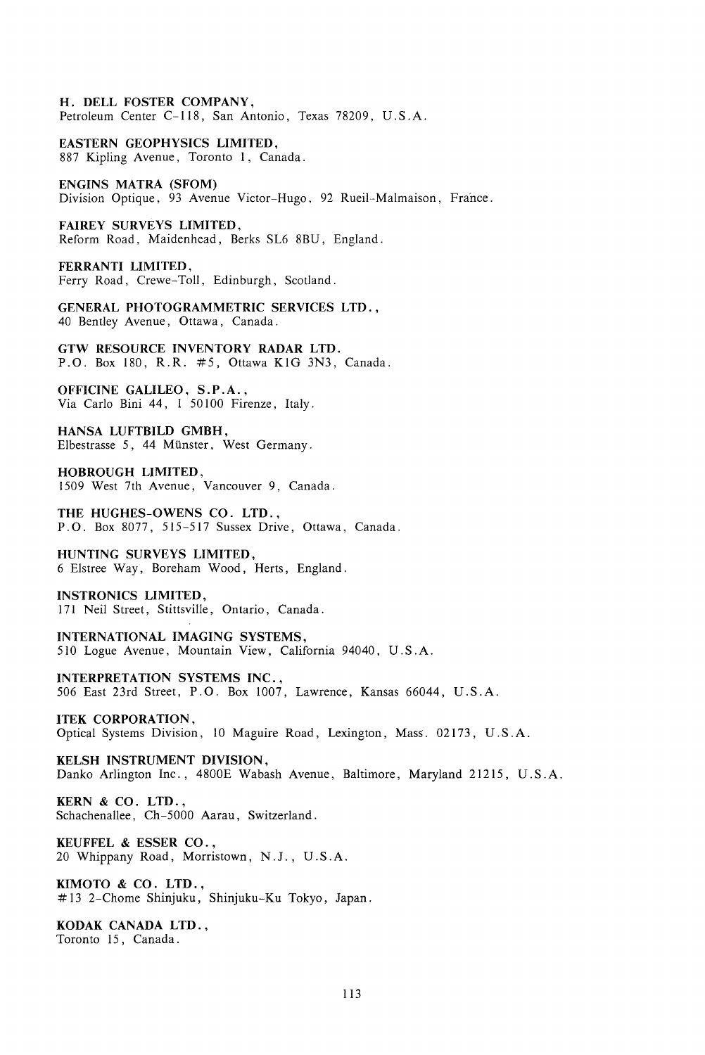H. DELL FOSTER COMPANY, Petroleum Center C-118, San Antonio, Texas 78209, U.S. A.

EASTERN GEOPHYSICS LIMITED, 887 Kipling Avenue, Toronto 1, Canada.

ENGINS MATRA (SFOM) Division Optique, 93 Avenue Victor-Hugo, 92 Rueil-Malmaison, France.

FAIREY SURVEYS LIMITED, Reform Road, Maidenhead, Berks SL6 8BU, England.

FERRANTI LIMITED, Ferry Road, Crewe-Toll, Edinburgh, Scotland.

GENERAL PHOTOGRAMMETRIC SERVICES LTD., 40 Bentley Avenue, Ottawa, Canada.

GTW RESOURCE INVENTORY RADAR LTD. P.O. Box 180, R.R. #5, Ottawa KlG 3N3, Canada.

OFFICINE GALILEO, S.P.A., Via Carlo Bini 44, 1 50 100 Firenze, Italy.

HANSA LUFTBILD GMBH, Elbestrasse 5, 44 Munster, West Germany.

HOBROUGH LIMITED, 1509 West 7th Avenue, Vancouver 9, Canada.

THE HUGHES-OWENS CO. LTD., P. 0. Box 8077, 515-517 Sussex Drive, Ottawa, Canada.

HUNTING SURVEYS LIMITED, 6 Elstree Way, Bareham Wood, Herts, England.

INSTRONICS LIMITED, 171 Neil Street, Stittsville, Ontario, Canada.

INTERNATIONAL IMAGING SYSTEMS, 510 Logue Avenue, Mountain View, California 94040, U.S.A.

INTERPRETATION SYSTEMS INC., 506 East 23rd Street, P. 0. Box 1007, Lawrence, Kansas 66044, U.S. A.

ITEK CORPORATION, Optical Systems Division, 10 Maguire Road, Lexington, Mass. 02173, U.S. A.

KELSH INSTRUMENT DIVISION, Danko Arlington Inc., 4800E Wabash Avenue, Baltimore, Maryland 21215, U.S.A.

KERN & CO. LTD., Schachenallee, Ch-5000 Aarau, Switzerland.

KEUFFEL & ESSER CO. , 20 Whippany Road, Morristown, N.J. , U.S. A.

KIMOTO & CO. LTD., # 13 2-Chome Shinjuku, Shinjuku-Ku Tokyo, Japan.

KODAK CANADA LTD., Toronto 15, Canada.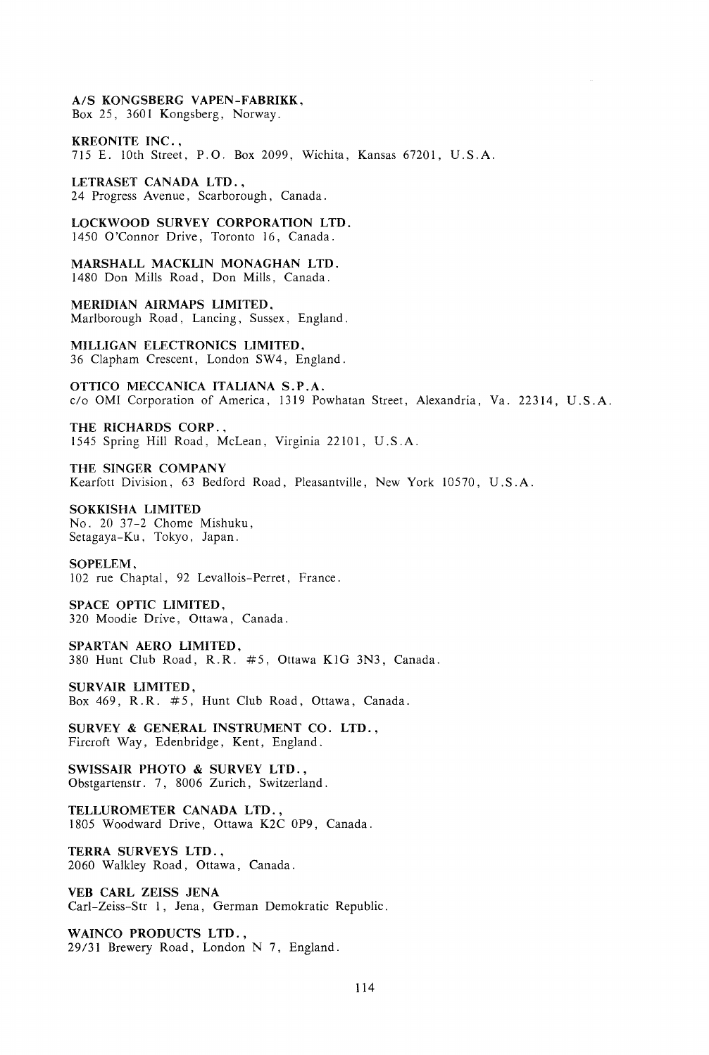A/S KONGSBERG VAPEN-FABRIKK,

Box 25, 3601 Kongsberg, Norway.

KREONITE INC., 715 E. lOth Street, P.O. Box 2099, Wichita, Kansas 67201, U.S.A.

LETRASET CANADA LTD., 24 Progress Avenue, Scarborough, Canada.

LOCKWOOD SURVEY CORPORATION LTD. 1450 O'Connor Drive, Toronto 16, Canada.

MARSHALL MACKLIN MONAGHAN LTD. 1480 Don Mills Road, Don Mills, Canada.

MERIDIAN AIRMAPS LIMITED, Marlborough Road, Lancing, Sussex, England.

MILLIGAN ELECTRONICS LIMITED, 36 Clapham Crescent, London SW4, England.

OTTICO MECCANICA ITALIANA S.P.A. c/o OMI Corporation of America, 1319 Powhatan Street, Alexandria, Va. 22314, U.S.A.

THE RICHARDS CORP. , 1545 Spring Hill Road, McLean, Virginia 22101, U.S.A.

THE SINGER COMPANY Kearfott Division, 63 Bedford Road, Pleasantville, New York 10570, U.S.A.

SOKKISHA LIMITED No. 20 37-2 Chome Mishuku, Setagaya-Ku, Tokyo, Japan.

SOPELEM, 102 rue Chaptal, 92 Levallois-Perret, France.

SPACE OPTIC LIMITED, 320 Moodie Drive, Ottawa, Canada.

SPARTAN AERO LIMITED, 380 Hunt Club Road, R.R. #5, Ottawa KIG 3N3, Canada.

SURVAIR LIMITED, Box 469, R.R. #5, Hunt Club Road, Ottawa, Canada.

SURVEY & GENERAL INSTRUMENT CO. LTD., Fircroft Way, Edenbridge, Kent, England.

SWISSAIR PHOTO & SURVEY LTD., Obstgartenstr. 7, 8006 Zurich, Switzerland.

TELLUROMETER CANADA LTD., I 805 Woodward Drive, Ottawa K2C OP9, Canada.

TERRA SURVEYS LTD., 2060 Walkley Road, Ottawa, Canada.

VEB CARL ZEISS JENA Carl-Zeiss-Str I, Jena, German Demokratic Republic.

WAINCO PRODUCTS LTD., 29/31 Brewery Road, London N 7, England.